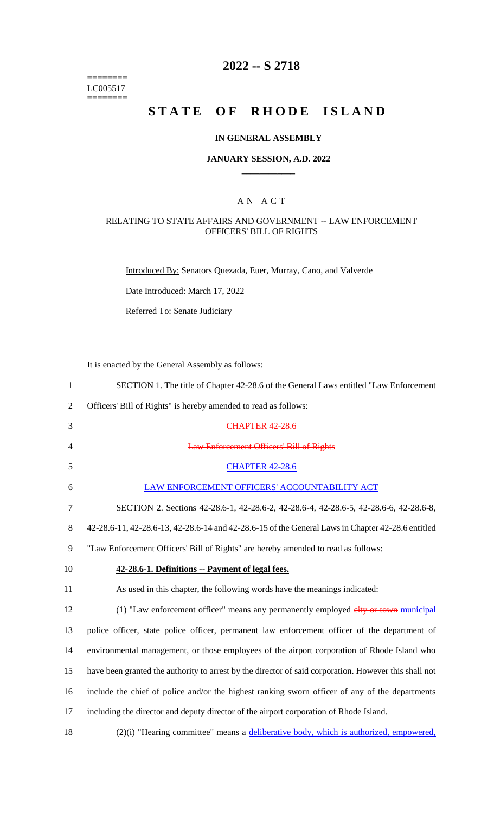======== LC005517  $=$ 

## **2022 -- S 2718**

## **STATE OF RHODE ISLAND**

## **IN GENERAL ASSEMBLY**

### **JANUARY SESSION, A.D. 2022 \_\_\_\_\_\_\_\_\_\_\_\_**

## A N A C T

### RELATING TO STATE AFFAIRS AND GOVERNMENT -- LAW ENFORCEMENT OFFICERS' BILL OF RIGHTS

Introduced By: Senators Quezada, Euer, Murray, Cano, and Valverde

Date Introduced: March 17, 2022

Referred To: Senate Judiciary

It is enacted by the General Assembly as follows:

| $\mathbf{1}$   | SECTION 1. The title of Chapter 42-28.6 of the General Laws entitled "Law Enforcement"                |
|----------------|-------------------------------------------------------------------------------------------------------|
| $\overline{2}$ | Officers' Bill of Rights" is hereby amended to read as follows:                                       |
| 3              | <b>CHAPTER 42-28.6</b>                                                                                |
| 4              | <b>Law Enforcement Officers' Bill of Rights</b>                                                       |
| 5              | <b>CHAPTER 42-28.6</b>                                                                                |
| 6              | LAW ENFORCEMENT OFFICERS' ACCOUNTABILITY ACT                                                          |
| 7              | SECTION 2. Sections 42-28.6-1, 42-28.6-2, 42-28.6-4, 42-28.6-5, 42-28.6-6, 42-28.6-8,                 |
| 8              | 42-28.6-11, 42-28.6-13, 42-28.6-14 and 42-28.6-15 of the General Laws in Chapter 42-28.6 entitled     |
| 9              | "Law Enforcement Officers' Bill of Rights" are hereby amended to read as follows:                     |
| 10             | 42-28.6-1. Definitions -- Payment of legal fees.                                                      |
| 11             | As used in this chapter, the following words have the meanings indicated:                             |
| 12             | (1) "Law enforcement officer" means any permanently employed eity or town municipal                   |
| 13             | police officer, state police officer, permanent law enforcement officer of the department of          |
| 14             | environmental management, or those employees of the airport corporation of Rhode Island who           |
| 15             | have been granted the authority to arrest by the director of said corporation. However this shall not |
| 16             | include the chief of police and/or the highest ranking sworn officer of any of the departments        |
| 17             | including the director and deputy director of the airport corporation of Rhode Island.                |
|                |                                                                                                       |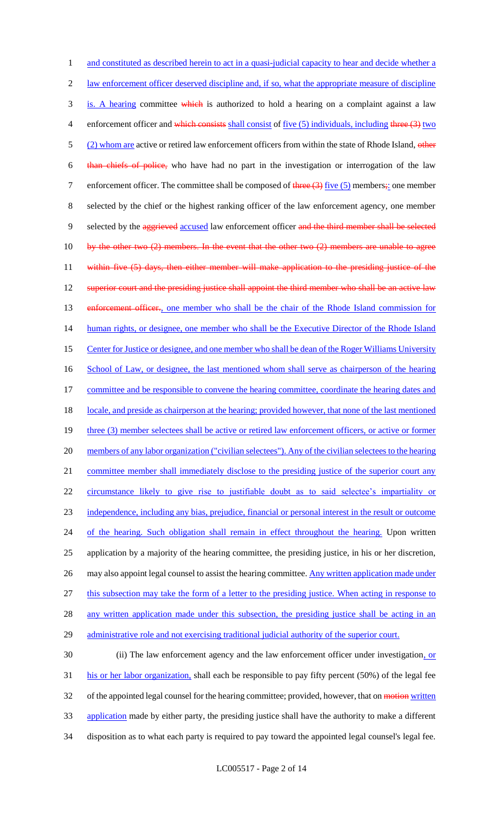1 and constituted as described herein to act in a quasi-judicial capacity to hear and decide whether a 2 law enforcement officer deserved discipline and, if so, what the appropriate measure of discipline 3 is. A hearing committee which is authorized to hold a hearing on a complaint against a law 4 enforcement officer and which consists shall consist of five (5) individuals, including three (3) two 5 (2) whom are active or retired law enforcement officers from within the state of Rhode Island, other 6 than chiefs of police, who have had no part in the investigation or interrogation of the law 7 enforcement officer. The committee shall be composed of  $\frac{4 \text{Area}(3)}{1 \text{Area}(5)}$  members; one member 8 selected by the chief or the highest ranking officer of the law enforcement agency, one member 9 selected by the aggrieved accused law enforcement officer and the third member shall be selected 10 by the other two (2) members. In the event that the other two (2) members are unable to agree 11 within five (5) days, then either member will make application to the presiding justice of the 12 superior court and the presiding justice shall appoint the third member who shall be an active law 13 enforcement officer., one member who shall be the chair of the Rhode Island commission for 14 human rights, or designee, one member who shall be the Executive Director of the Rhode Island 15 Center for Justice or designee, and one member who shall be dean of the Roger Williams University 16 School of Law, or designee, the last mentioned whom shall serve as chairperson of the hearing 17 committee and be responsible to convene the hearing committee, coordinate the hearing dates and 18 locale, and preside as chairperson at the hearing; provided however, that none of the last mentioned 19 three (3) member selectees shall be active or retired law enforcement officers, or active or former 20 members of any labor organization ("civilian selectees"). Any of the civilian selectees to the hearing 21 committee member shall immediately disclose to the presiding justice of the superior court any 22 circumstance likely to give rise to justifiable doubt as to said selectee's impartiality or 23 independence, including any bias, prejudice, financial or personal interest in the result or outcome 24 of the hearing. Such obligation shall remain in effect throughout the hearing. Upon written 25 application by a majority of the hearing committee, the presiding justice, in his or her discretion, 26 may also appoint legal counsel to assist the hearing committee. Any written application made under 27 this subsection may take the form of a letter to the presiding justice. When acting in response to 28 any written application made under this subsection, the presiding justice shall be acting in an 29 administrative role and not exercising traditional judicial authority of the superior court. 30 (ii) The law enforcement agency and the law enforcement officer under investigation, or 31 his or her labor organization, shall each be responsible to pay fifty percent (50%) of the legal fee

32 of the appointed legal counsel for the hearing committee; provided, however, that on motion written

33 application made by either party, the presiding justice shall have the authority to make a different

34 disposition as to what each party is required to pay toward the appointed legal counsel's legal fee.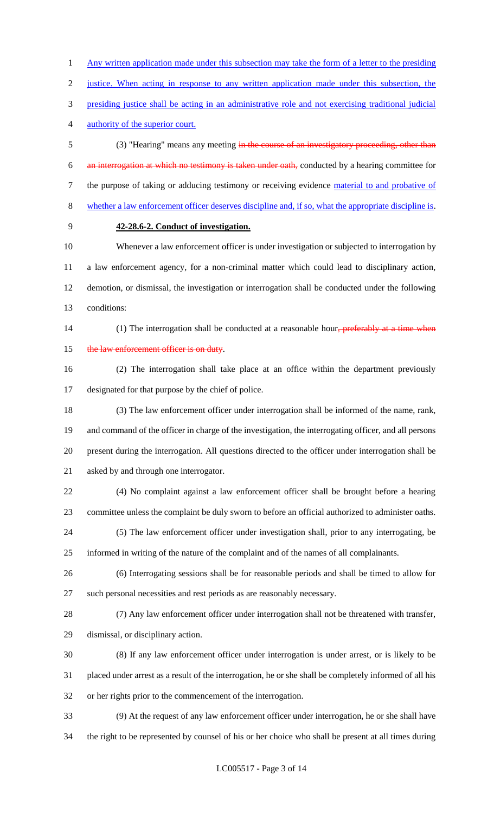1 Any written application made under this subsection may take the form of a letter to the presiding justice. When acting in response to any written application made under this subsection, the presiding justice shall be acting in an administrative role and not exercising traditional judicial authority of the superior court.

 (3) "Hearing" means any meeting in the course of an investigatory proceeding, other than an interrogation at which no testimony is taken under oath, conducted by a hearing committee for 7 the purpose of taking or adducing testimony or receiving evidence material to and probative of whether a law enforcement officer deserves discipline and, if so, what the appropriate discipline is.

## **42-28.6-2. Conduct of investigation.**

 Whenever a law enforcement officer is under investigation or subjected to interrogation by a law enforcement agency, for a non-criminal matter which could lead to disciplinary action, demotion, or dismissal, the investigation or interrogation shall be conducted under the following conditions:

14 (1) The interrogation shall be conducted at a reasonable hour<del>, preferably at a time when</del> 15 the law enforcement officer is on duty.

 (2) The interrogation shall take place at an office within the department previously designated for that purpose by the chief of police.

 (3) The law enforcement officer under interrogation shall be informed of the name, rank, and command of the officer in charge of the investigation, the interrogating officer, and all persons present during the interrogation. All questions directed to the officer under interrogation shall be asked by and through one interrogator.

 (4) No complaint against a law enforcement officer shall be brought before a hearing committee unless the complaint be duly sworn to before an official authorized to administer oaths.

 (5) The law enforcement officer under investigation shall, prior to any interrogating, be informed in writing of the nature of the complaint and of the names of all complainants.

 (6) Interrogating sessions shall be for reasonable periods and shall be timed to allow for such personal necessities and rest periods as are reasonably necessary.

 (7) Any law enforcement officer under interrogation shall not be threatened with transfer, dismissal, or disciplinary action.

 (8) If any law enforcement officer under interrogation is under arrest, or is likely to be placed under arrest as a result of the interrogation, he or she shall be completely informed of all his or her rights prior to the commencement of the interrogation.

 (9) At the request of any law enforcement officer under interrogation, he or she shall have the right to be represented by counsel of his or her choice who shall be present at all times during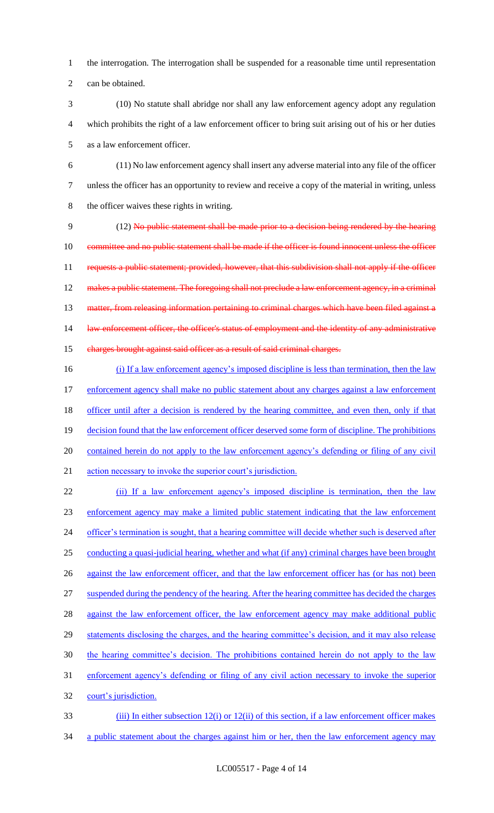1 the interrogation. The interrogation shall be suspended for a reasonable time until representation 2 can be obtained.

- 3 (10) No statute shall abridge nor shall any law enforcement agency adopt any regulation 4 which prohibits the right of a law enforcement officer to bring suit arising out of his or her duties 5 as a law enforcement officer.
- 6 (11) No law enforcement agency shall insert any adverse material into any file of the officer 7 unless the officer has an opportunity to review and receive a copy of the material in writing, unless 8 the officer waives these rights in writing.

9 (12) No public statement shall be made prior to a decision being rendered by the hearing 10 committee and no public statement shall be made if the officer is found innocent unless the officer 11 requests a public statement; provided, however, that this subdivision shall not apply if the officer 12 makes a public statement. The foregoing shall not preclude a law enforcement agency, in a criminal 13 matter, from releasing information pertaining to criminal charges which have been filed against a 14 law enforcement officer, the officer's status of employment and the identity of any administrative 15 charges brought against said officer as a result of said criminal charges.

16 (i) If a law enforcement agency's imposed discipline is less than termination, then the law 17 enforcement agency shall make no public statement about any charges against a law enforcement 18 officer until after a decision is rendered by the hearing committee, and even then, only if that 19 decision found that the law enforcement officer deserved some form of discipline. The prohibitions 20 contained herein do not apply to the law enforcement agency's defending or filing of any civil 21 action necessary to invoke the superior court's jurisdiction.

22 (ii) If a law enforcement agency's imposed discipline is termination, then the law 23 enforcement agency may make a limited public statement indicating that the law enforcement 24 officer's termination is sought, that a hearing committee will decide whether such is deserved after 25 conducting a quasi-judicial hearing, whether and what (if any) criminal charges have been brought 26 against the law enforcement officer, and that the law enforcement officer has (or has not) been 27 suspended during the pendency of the hearing. After the hearing committee has decided the charges 28 against the law enforcement officer, the law enforcement agency may make additional public 29 statements disclosing the charges, and the hearing committee's decision, and it may also release 30 the hearing committee's decision. The prohibitions contained herein do not apply to the law 31 enforcement agency's defending or filing of any civil action necessary to invoke the superior 32 court's jurisdiction. 33 (iii) In either subsection 12(i) or 12(ii) of this section, if a law enforcement officer makes

34 a public statement about the charges against him or her, then the law enforcement agency may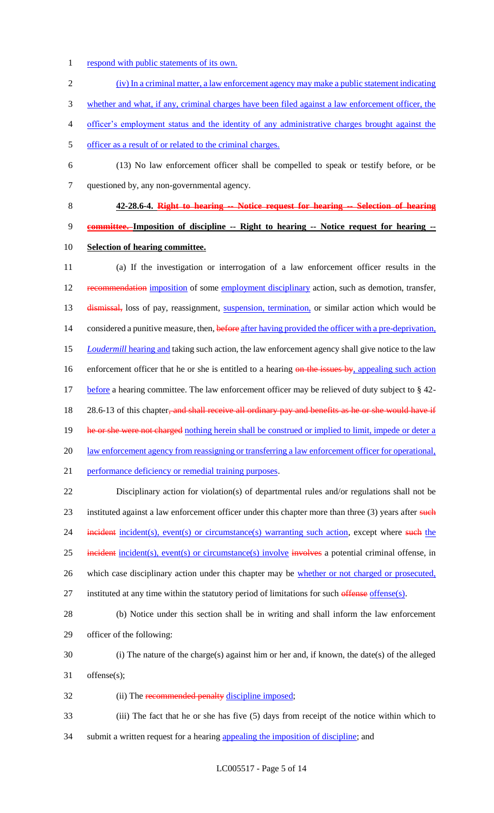- 1 respond with public statements of its own.
- 2 (iv) In a criminal matter, a law enforcement agency may make a public statement indicating 3 whether and what, if any, criminal charges have been filed against a law enforcement officer, the 4 officer's employment status and the identity of any administrative charges brought against the 5 officer as a result of or related to the criminal charges. 6 (13) No law enforcement officer shall be compelled to speak or testify before, or be
- 7 questioned by, any non-governmental agency.
- 8 **42-28.6-4. Right to hearing -- Notice request for hearing -- Selection of hearing**

# 9 **committee. Imposition of discipline -- Right to hearing -- Notice request for hearing --** 10 **Selection of hearing committee.**

11 (a) If the investigation or interrogation of a law enforcement officer results in the 12 recommendation imposition of some employment disciplinary action, such as demotion, transfer, 13 dismissal, loss of pay, reassignment, suspension, termination, or similar action which would be 14 considered a punitive measure, then, before after having provided the officer with a pre-deprivation, 15 *Loudermill* hearing and taking such action, the law enforcement agency shall give notice to the law 16 enforcement officer that he or she is entitled to a hearing on the issues by, appealing such action 17 before a hearing committee. The law enforcement officer may be relieved of duty subject to § 42-18 28.6-13 of this chapter, and shall receive all ordinary pay and benefits as he or she would have if 19 he or she were not charged nothing herein shall be construed or implied to limit, impede or deter a 20 law enforcement agency from reassigning or transferring a law enforcement officer for operational, 21 performance deficiency or remedial training purposes. 22 Disciplinary action for violation(s) of departmental rules and/or regulations shall not be 23 instituted against a law enforcement officer under this chapter more than three (3) years after such

24 incident incident(s), event(s) or circumstance(s) warranting such action, except where such the

25 incident incident(s), event(s) or circumstance(s) involve involves a potential criminal offense, in

26 which case disciplinary action under this chapter may be whether or not charged or prosecuted,

- 27 instituted at any time within the statutory period of limitations for such offense offense(s).
- 28 (b) Notice under this section shall be in writing and shall inform the law enforcement 29 officer of the following:
- 30 (i) The nature of the charge(s) against him or her and, if known, the date(s) of the alleged 31 offense(s);
- 32 (ii) The recommended penalty discipline imposed;
- 33 (iii) The fact that he or she has five (5) days from receipt of the notice within which to 34 submit a written request for a hearing appealing the imposition of discipline; and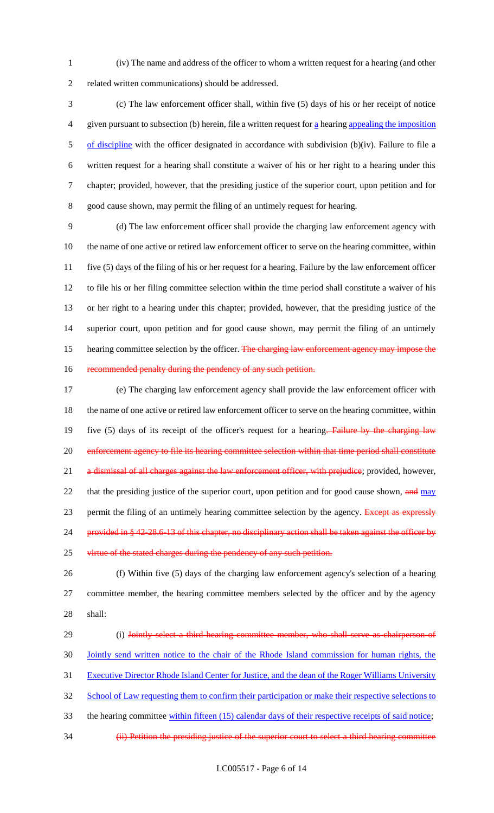(iv) The name and address of the officer to whom a written request for a hearing (and other related written communications) should be addressed.

 (c) The law enforcement officer shall, within five (5) days of his or her receipt of notice given pursuant to subsection (b) herein, file a written request for a hearing appealing the imposition 5 of discipline with the officer designated in accordance with subdivision (b)(iv). Failure to file a written request for a hearing shall constitute a waiver of his or her right to a hearing under this chapter; provided, however, that the presiding justice of the superior court, upon petition and for good cause shown, may permit the filing of an untimely request for hearing.

 (d) The law enforcement officer shall provide the charging law enforcement agency with the name of one active or retired law enforcement officer to serve on the hearing committee, within five (5) days of the filing of his or her request for a hearing. Failure by the law enforcement officer to file his or her filing committee selection within the time period shall constitute a waiver of his or her right to a hearing under this chapter; provided, however, that the presiding justice of the superior court, upon petition and for good cause shown, may permit the filing of an untimely 15 hearing committee selection by the officer. The charging law enforcement agency may impose the 16 recommended penalty during the pendency of any such petition.

 (e) The charging law enforcement agency shall provide the law enforcement officer with the name of one active or retired law enforcement officer to serve on the hearing committee, within 19 five (5) days of its receipt of the officer's request for a hearing. Failure by the charging law enforcement agency to file its hearing committee selection within that time period shall constitute 21 a dismissal of all charges against the law enforcement officer, with prejudice; provided, however, 22 that the presiding justice of the superior court, upon petition and for good cause shown, and may 23 permit the filing of an untimely hearing committee selection by the agency. Except as expressly 24 provided in § 42-28.6-13 of this chapter, no disciplinary action shall be taken against the officer by 25 virtue of the stated charges during the pendency of any such petition.

 (f) Within five (5) days of the charging law enforcement agency's selection of a hearing committee member, the hearing committee members selected by the officer and by the agency shall:

29 (i) Jointly select a third hearing committee member, who shall serve as chairperson of Jointly send written notice to the chair of the Rhode Island commission for human rights, the Executive Director Rhode Island Center for Justice, and the dean of the Roger Williams University 32 School of Law requesting them to confirm their participation or make their respective selections to 33 the hearing committee within fifteen (15) calendar days of their respective receipts of said notice; (ii) Petition the presiding justice of the superior court to select a third hearing committee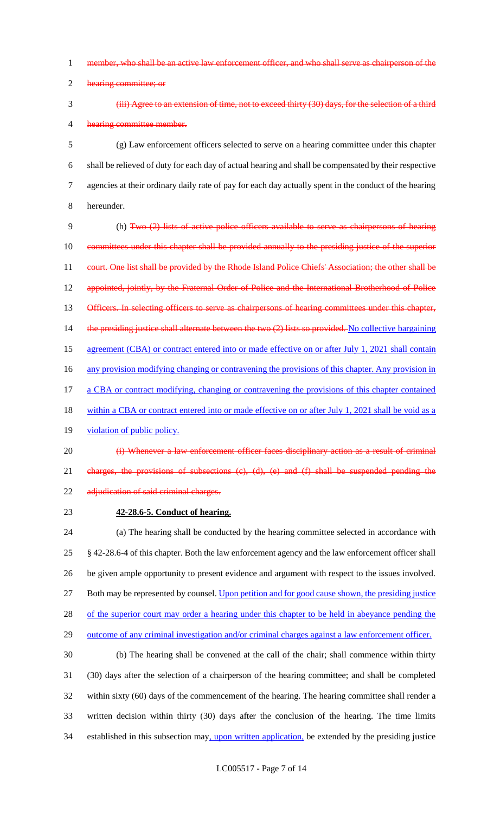- 1 member, who shall be an active law enforcement officer, and who shall serve as chairperson of the
- 2 hearing committee; or
- 

## 3 (iii) Agree to an extension of time, not to exceed thirty (30) days, for the selection of a third 4 hearing committee member.

 (g) Law enforcement officers selected to serve on a hearing committee under this chapter shall be relieved of duty for each day of actual hearing and shall be compensated by their respective agencies at their ordinary daily rate of pay for each day actually spent in the conduct of the hearing hereunder.

9 (h) Two (2) lists of active police officers available to serve as chairpersons of hearing 10 committees under this chapter shall be provided annually to the presiding justice of the superior 11 court. One list shall be provided by the Rhode Island Police Chiefs' Association; the other shall be 12 appointed, jointly, by the Fraternal Order of Police and the International Brotherhood of Police 13 Officers. In selecting officers to serve as chairpersons of hearing committees under this chapter, 14 the presiding justice shall alternate between the two (2) lists so provided. No collective bargaining 15 agreement (CBA) or contract entered into or made effective on or after July 1, 2021 shall contain 16 any provision modifying changing or contravening the provisions of this chapter. Any provision in 17 a CBA or contract modifying, changing or contravening the provisions of this chapter contained 18 within a CBA or contract entered into or made effective on or after July 1, 2021 shall be void as a

- 19 violation of public policy.
- 20 (i) Whenever a law enforcement officer faces disciplinary action as a result of criminal 21 charges, the provisions of subsections (c), (d), (e) and (f) shall be suspended pending the 22 adjudication of said criminal charges.
- 

## 23 **42-28.6-5. Conduct of hearing.**

 (a) The hearing shall be conducted by the hearing committee selected in accordance with § 42-28.6-4 of this chapter. Both the law enforcement agency and the law enforcement officer shall be given ample opportunity to present evidence and argument with respect to the issues involved. 27 Both may be represented by counsel. Upon petition and for good cause shown, the presiding justice 28 of the superior court may order a hearing under this chapter to be held in abeyance pending the outcome of any criminal investigation and/or criminal charges against a law enforcement officer.

 (b) The hearing shall be convened at the call of the chair; shall commence within thirty (30) days after the selection of a chairperson of the hearing committee; and shall be completed within sixty (60) days of the commencement of the hearing. The hearing committee shall render a written decision within thirty (30) days after the conclusion of the hearing. The time limits 34 established in this subsection may, upon written application, be extended by the presiding justice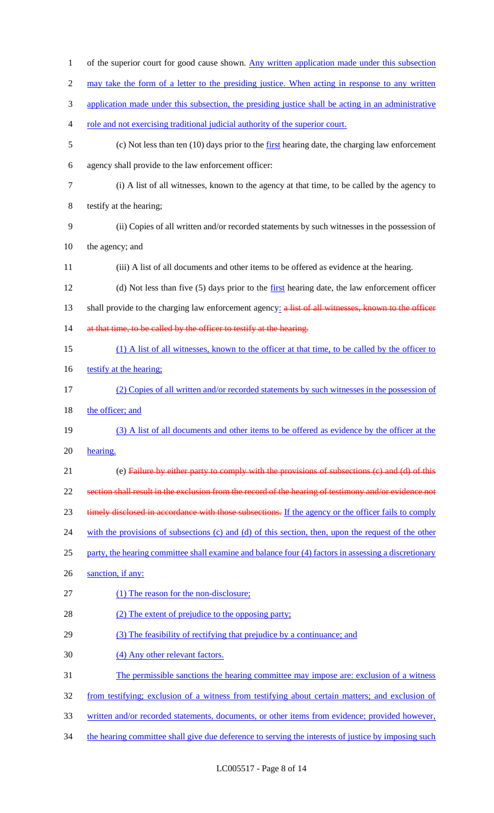|                  | of the superior court for good cause shown. Any written application made under this subsection        |
|------------------|-------------------------------------------------------------------------------------------------------|
| $\overline{2}$   | may take the form of a letter to the presiding justice. When acting in response to any written        |
| 3                | application made under this subsection, the presiding justice shall be acting in an administrative    |
| 4                | role and not exercising traditional judicial authority of the superior court.                         |
| 5                | (c) Not less than ten $(10)$ days prior to the first hearing date, the charging law enforcement       |
| 6                | agency shall provide to the law enforcement officer:                                                  |
| $\boldsymbol{7}$ | (i) A list of all witnesses, known to the agency at that time, to be called by the agency to          |
| $8\,$            | testify at the hearing;                                                                               |
| 9                | (ii) Copies of all written and/or recorded statements by such witnesses in the possession of          |
| 10               | the agency; and                                                                                       |
| 11               | (iii) A list of all documents and other items to be offered as evidence at the hearing.               |
| 12               | (d) Not less than five (5) days prior to the first hearing date, the law enforcement officer          |
| 13               | shall provide to the charging law enforcement agency: a list of all witnesses, known to the officer   |
| 14               | at that time, to be called by the officer to testify at the hearing.                                  |
| 15               | (1) A list of all witnesses, known to the officer at that time, to be called by the officer to        |
| 16               | testify at the hearing:                                                                               |
| 17               | (2) Copies of all written and/or recorded statements by such witnesses in the possession of           |
| 18               | the officer; and                                                                                      |
| 19               | (3) A list of all documents and other items to be offered as evidence by the officer at the           |
|                  |                                                                                                       |
| 20               | hearing.                                                                                              |
| 21               | (e) Failure by either party to comply with the provisions of subsections (c) and (d) of this          |
| 22               | section shall result in the exclusion from the record of the hearing of testimony and/or evidence not |
| 23               | timely disclosed in accordance with those subsections. If the agency or the officer fails to comply   |
| 24               | with the provisions of subsections (c) and (d) of this section, then, upon the request of the other   |
| 25               | party, the hearing committee shall examine and balance four (4) factors in assessing a discretionary  |
| 26               | sanction, if any:                                                                                     |
| 27               | (1) The reason for the non-disclosure;                                                                |
| 28               | (2) The extent of prejudice to the opposing party;                                                    |
| 29               | (3) The feasibility of rectifying that prejudice by a continuance; and                                |
| 30               | (4) Any other relevant factors.                                                                       |
| 31               | The permissible sanctions the hearing committee may impose are: exclusion of a witness                |
| 32               | from testifying; exclusion of a witness from testifying about certain matters; and exclusion of       |
| 33               | written and/or recorded statements, documents, or other items from evidence; provided however,        |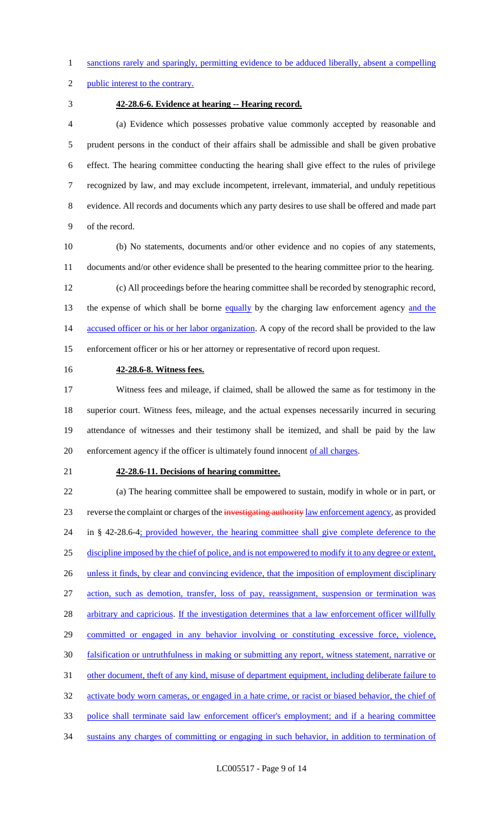1 sanctions rarely and sparingly, permitting evidence to be adduced liberally, absent a compelling

public interest to the contrary.

#### **42-28.6-6. Evidence at hearing -- Hearing record.**

 (a) Evidence which possesses probative value commonly accepted by reasonable and prudent persons in the conduct of their affairs shall be admissible and shall be given probative effect. The hearing committee conducting the hearing shall give effect to the rules of privilege recognized by law, and may exclude incompetent, irrelevant, immaterial, and unduly repetitious evidence. All records and documents which any party desires to use shall be offered and made part of the record.

 (b) No statements, documents and/or other evidence and no copies of any statements, documents and/or other evidence shall be presented to the hearing committee prior to the hearing.

 (c) All proceedings before the hearing committee shall be recorded by stenographic record, 13 the expense of which shall be borne equally by the charging law enforcement agency and the 14 accused officer or his or her labor organization. A copy of the record shall be provided to the law enforcement officer or his or her attorney or representative of record upon request.

### **42-28.6-8. Witness fees.**

 Witness fees and mileage, if claimed, shall be allowed the same as for testimony in the superior court. Witness fees, mileage, and the actual expenses necessarily incurred in securing attendance of witnesses and their testimony shall be itemized, and shall be paid by the law 20 enforcement agency if the officer is ultimately found innocent of all charges.

#### **42-28.6-11. Decisions of hearing committee.**

 (a) The hearing committee shall be empowered to sustain, modify in whole or in part, or 23 reverse the complaint or charges of the investigating authority law enforcement agency, as provided 24 in § 42-28.6-4; provided however, the hearing committee shall give complete deference to the discipline imposed by the chief of police, and is not empowered to modify it to any degree or extent, 26 unless it finds, by clear and convincing evidence, that the imposition of employment disciplinary action, such as demotion, transfer, loss of pay, reassignment, suspension or termination was 28 arbitrary and capricious. If the investigation determines that a law enforcement officer willfully 29 committed or engaged in any behavior involving or constituting excessive force, violence, falsification or untruthfulness in making or submitting any report, witness statement, narrative or 31 other document, theft of any kind, misuse of department equipment, including deliberate failure to 32 activate body worn cameras, or engaged in a hate crime, or racist or biased behavior, the chief of police shall terminate said law enforcement officer's employment; and if a hearing committee sustains any charges of committing or engaging in such behavior, in addition to termination of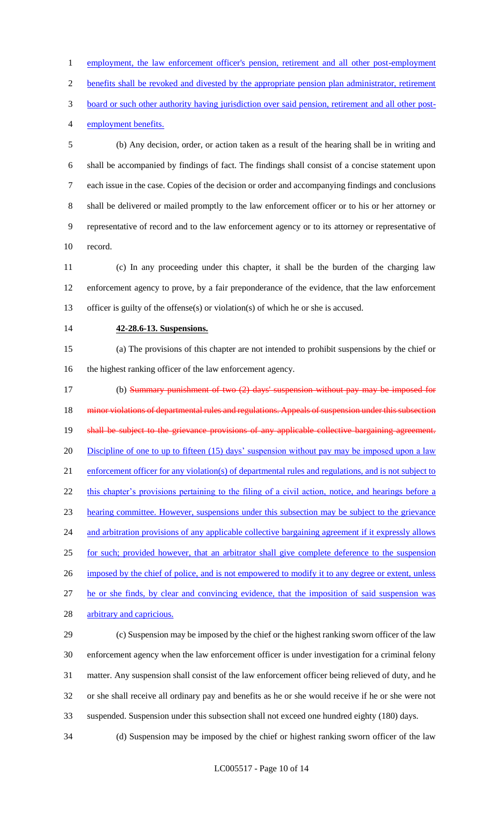1 employment, the law enforcement officer's pension, retirement and all other post-employment benefits shall be revoked and divested by the appropriate pension plan administrator, retirement board or such other authority having jurisdiction over said pension, retirement and all other post-

employment benefits.

 (b) Any decision, order, or action taken as a result of the hearing shall be in writing and shall be accompanied by findings of fact. The findings shall consist of a concise statement upon each issue in the case. Copies of the decision or order and accompanying findings and conclusions shall be delivered or mailed promptly to the law enforcement officer or to his or her attorney or representative of record and to the law enforcement agency or to its attorney or representative of record.

 (c) In any proceeding under this chapter, it shall be the burden of the charging law enforcement agency to prove, by a fair preponderance of the evidence, that the law enforcement officer is guilty of the offense(s) or violation(s) of which he or she is accused.

#### **42-28.6-13. Suspensions.**

 (a) The provisions of this chapter are not intended to prohibit suspensions by the chief or the highest ranking officer of the law enforcement agency.

 (b) Summary punishment of two (2) days' suspension without pay may be imposed for 18 minor violations of departmental rules and regulations. Appeals of suspension under this subsection 19 shall be subject to the grievance provisions of any applicable collective bargaining agreement. 20 Discipline of one to up to fifteen (15) days' suspension without pay may be imposed upon a law enforcement officer for any violation(s) of departmental rules and regulations, and is not subject to 22 this chapter's provisions pertaining to the filing of a civil action, notice, and hearings before a hearing committee. However, suspensions under this subsection may be subject to the grievance 24 and arbitration provisions of any applicable collective bargaining agreement if it expressly allows for such; provided however, that an arbitrator shall give complete deference to the suspension 26 imposed by the chief of police, and is not empowered to modify it to any degree or extent, unless he or she finds, by clear and convincing evidence, that the imposition of said suspension was 28 arbitrary and capricious.

 (c) Suspension may be imposed by the chief or the highest ranking sworn officer of the law enforcement agency when the law enforcement officer is under investigation for a criminal felony matter. Any suspension shall consist of the law enforcement officer being relieved of duty, and he or she shall receive all ordinary pay and benefits as he or she would receive if he or she were not suspended. Suspension under this subsection shall not exceed one hundred eighty (180) days.

(d) Suspension may be imposed by the chief or highest ranking sworn officer of the law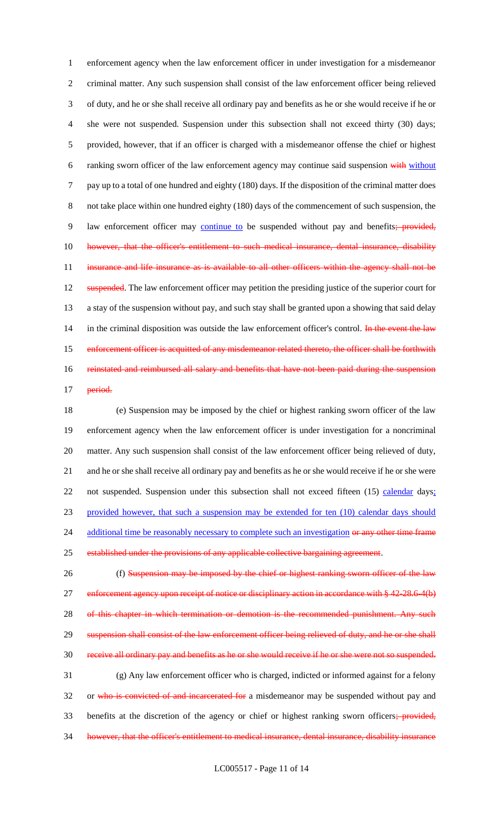1 enforcement agency when the law enforcement officer in under investigation for a misdemeanor 2 criminal matter. Any such suspension shall consist of the law enforcement officer being relieved 3 of duty, and he or she shall receive all ordinary pay and benefits as he or she would receive if he or 4 she were not suspended. Suspension under this subsection shall not exceed thirty (30) days; 5 provided, however, that if an officer is charged with a misdemeanor offense the chief or highest 6 ranking sworn officer of the law enforcement agency may continue said suspension with without 7 pay up to a total of one hundred and eighty (180) days. If the disposition of the criminal matter does 8 not take place within one hundred eighty (180) days of the commencement of such suspension, the 9 law enforcement officer may continue to be suspended without pay and benefits; provided, 10 however, that the officer's entitlement to such medical insurance, dental insurance, disability 11 insurance and life insurance as is available to all other officers within the agency shall not be 12 suspended. The law enforcement officer may petition the presiding justice of the superior court for 13 a stay of the suspension without pay, and such stay shall be granted upon a showing that said delay 14 in the criminal disposition was outside the law enforcement officer's control. In the event the law 15 enforcement officer is acquitted of any misdemeanor related thereto, the officer shall be forthwith 16 reinstated and reimbursed all salary and benefits that have not been paid during the suspension 17 period.

 (e) Suspension may be imposed by the chief or highest ranking sworn officer of the law enforcement agency when the law enforcement officer is under investigation for a noncriminal matter. Any such suspension shall consist of the law enforcement officer being relieved of duty, and he or she shall receive all ordinary pay and benefits as he or she would receive if he or she were 22 not suspended. Suspension under this subsection shall not exceed fifteen (15) calendar days; provided however, that such a suspension may be extended for ten (10) calendar days should 24 additional time be reasonably necessary to complete such an investigation or any other time frame 25 established under the provisions of any applicable collective bargaining agreement.

26 (f) Suspension may be imposed by the chief or highest ranking sworn officer of the law 27 enforcement agency upon receipt of notice or disciplinary action in accordance with § 42-28.6-4(b) 28 of this chapter in which termination or demotion is the recommended punishment. Any such 29 suspension shall consist of the law enforcement officer being relieved of duty, and he or she shall 30 receive all ordinary pay and benefits as he or she would receive if he or she were not so suspended. 31 (g) Any law enforcement officer who is charged, indicted or informed against for a felony 32 or who is convicted of and incarcerated for a misdemeanor may be suspended without pay and 33 benefits at the discretion of the agency or chief or highest ranking sworn officers; provided, 34 however, that the officer's entitlement to medical insurance, dental insurance, disability insurance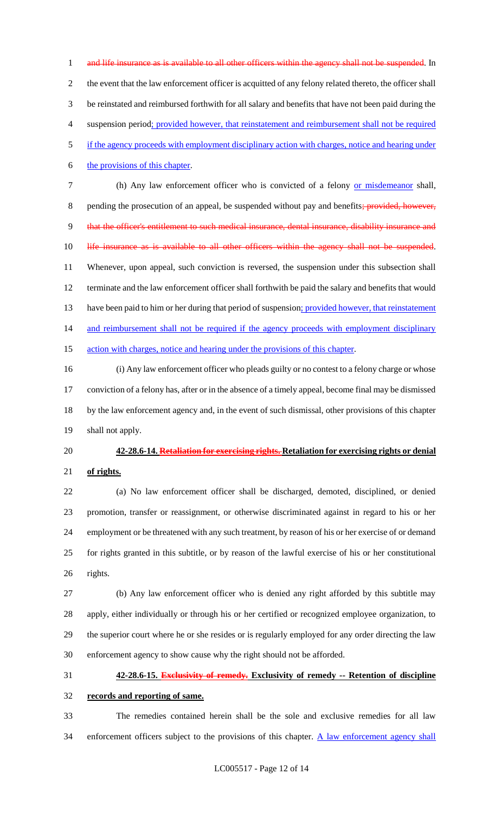1 and life insurance as is available to all other officers within the agency shall not be suspended. In the event that the law enforcement officer is acquitted of any felony related thereto, the officer shall be reinstated and reimbursed forthwith for all salary and benefits that have not been paid during the suspension period; provided however, that reinstatement and reimbursement shall not be required if the agency proceeds with employment disciplinary action with charges, notice and hearing under the provisions of this chapter. (h) Any law enforcement officer who is convicted of a felony or misdemeanor shall, 8 pending the prosecution of an appeal, be suspended without pay and benefits; provided, however,

that the officer's entitlement to such medical insurance, dental insurance, disability insurance and

10 life insurance as is available to all other officers within the agency shall not be suspended.

 Whenever, upon appeal, such conviction is reversed, the suspension under this subsection shall terminate and the law enforcement officer shall forthwith be paid the salary and benefits that would 13 have been paid to him or her during that period of suspension; provided however, that reinstatement 14 and reimbursement shall not be required if the agency proceeds with employment disciplinary 15 action with charges, notice and hearing under the provisions of this chapter.

 (i) Any law enforcement officer who pleads guilty or no contest to a felony charge or whose conviction of a felony has, after or in the absence of a timely appeal, become final may be dismissed by the law enforcement agency and, in the event of such dismissal, other provisions of this chapter shall not apply.

# **42-28.6-14. Retaliation for exercising rights. Retaliation for exercising rights or denial**

**of rights.**

 (a) No law enforcement officer shall be discharged, demoted, disciplined, or denied promotion, transfer or reassignment, or otherwise discriminated against in regard to his or her employment or be threatened with any such treatment, by reason of his or her exercise of or demand for rights granted in this subtitle, or by reason of the lawful exercise of his or her constitutional rights.

 (b) Any law enforcement officer who is denied any right afforded by this subtitle may apply, either individually or through his or her certified or recognized employee organization, to the superior court where he or she resides or is regularly employed for any order directing the law enforcement agency to show cause why the right should not be afforded.

## **42-28.6-15. Exclusivity of remedy. Exclusivity of remedy -- Retention of discipline**

## **records and reporting of same.**

 The remedies contained herein shall be the sole and exclusive remedies for all law 34 enforcement officers subject to the provisions of this chapter. A law enforcement agency shall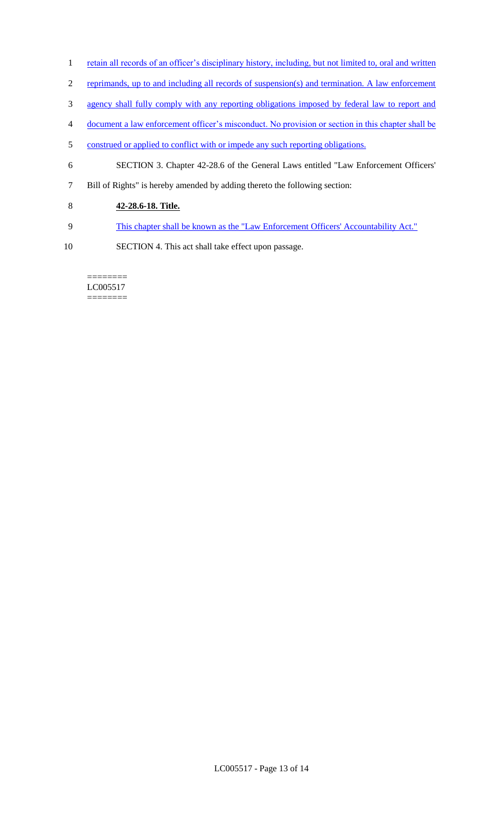- 1 retain all records of an officer's disciplinary history, including, but not limited to, oral and written
- 2 reprimands, up to and including all records of suspension(s) and termination. A law enforcement
- 3 agency shall fully comply with any reporting obligations imposed by federal law to report and
- 4 document a law enforcement officer's misconduct. No provision or section in this chapter shall be
- 5 construed or applied to conflict with or impede any such reporting obligations.
- 6 SECTION 3. Chapter 42-28.6 of the General Laws entitled "Law Enforcement Officers'
- 7 Bill of Rights" is hereby amended by adding thereto the following section:
- 8 **42-28.6-18. Title.**
- 9 This chapter shall be known as the "Law Enforcement Officers' Accountability Act."
- 10 SECTION 4. This act shall take effect upon passage.

#### ======== LC005517 ========